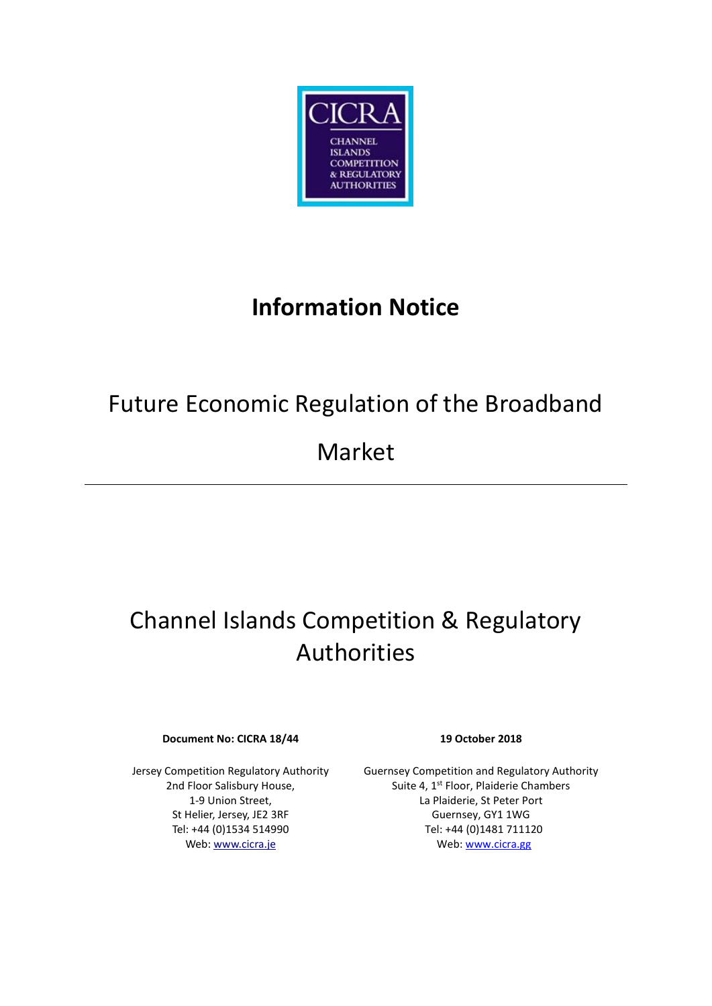

# **Information Notice**

# Future Economic Regulation of the Broadband

## Market

# Channel Islands Competition & Regulatory Authorities

#### **Document No: CICRA 18/44 19 October 2018**

Jersey Competition Regulatory Authority 2nd Floor Salisbury House, 1-9 Union Street, St Helier, Jersey, JE2 3RF Tel: +44 (0)1534 514990 Web[: www.cicra.je](http://www.cicra.je/)

Guernsey Competition and Regulatory Authority Suite 4, 1<sup>st</sup> Floor, Plaiderie Chambers La Plaiderie, St Peter Port Guernsey, GY1 1WG Tel: +44 (0)1481 711120 Web[: www.cicra.gg](http://www.cicra.gg/)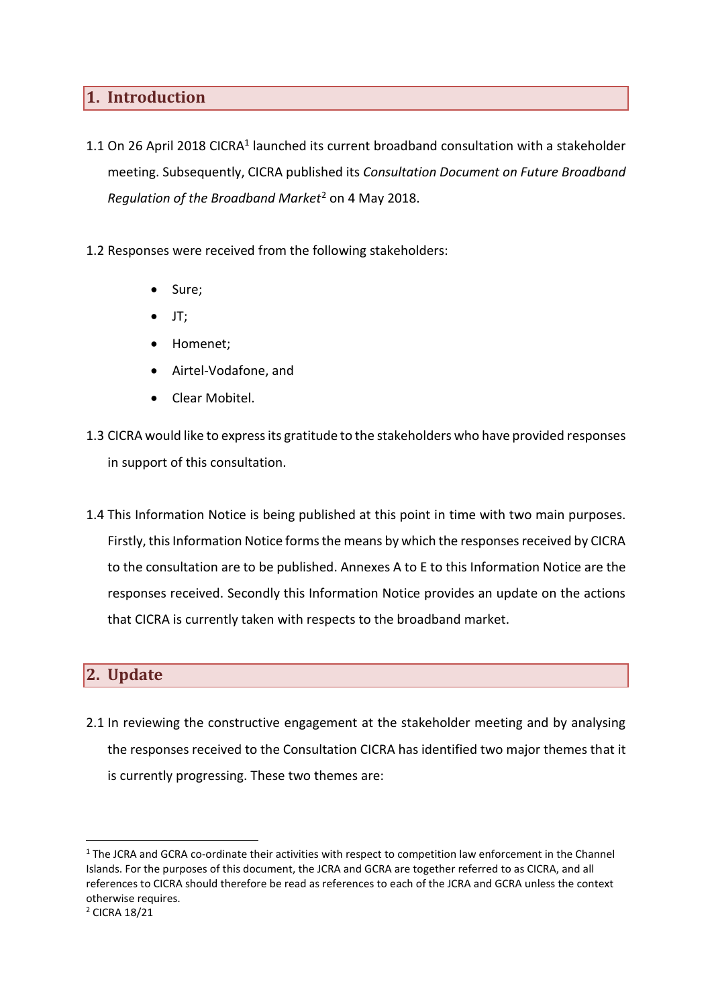### **1. Introduction**

- 1.1 On 26 April 2018 CICRA<sup>1</sup> launched its current broadband consultation with a stakeholder meeting. Subsequently, CICRA published its *Consultation Document on Future Broadband Regulation of the Broadband Market*<sup>2</sup> on 4 May 2018.
- 1.2 Responses were received from the following stakeholders:
	- Sure:
	- JT;
	- Homenet;
	- Airtel-Vodafone, and
	- Clear Mobitel.
- 1.3 CICRA would like to express its gratitude to the stakeholders who have provided responses in support of this consultation.
- 1.4 This Information Notice is being published at this point in time with two main purposes. Firstly, this Information Notice forms the means by which the responses received by CICRA to the consultation are to be published. Annexes A to E to this Information Notice are the responses received. Secondly this Information Notice provides an update on the actions that CICRA is currently taken with respects to the broadband market.

### **2. Update**

2.1 In reviewing the constructive engagement at the stakeholder meeting and by analysing the responses received to the Consultation CICRA has identified two major themes that it is currently progressing. These two themes are:

 $\overline{a}$ 

<sup>&</sup>lt;sup>1</sup> The JCRA and GCRA co-ordinate their activities with respect to competition law enforcement in the Channel Islands. For the purposes of this document, the JCRA and GCRA are together referred to as CICRA, and all references to CICRA should therefore be read as references to each of the JCRA and GCRA unless the context otherwise requires.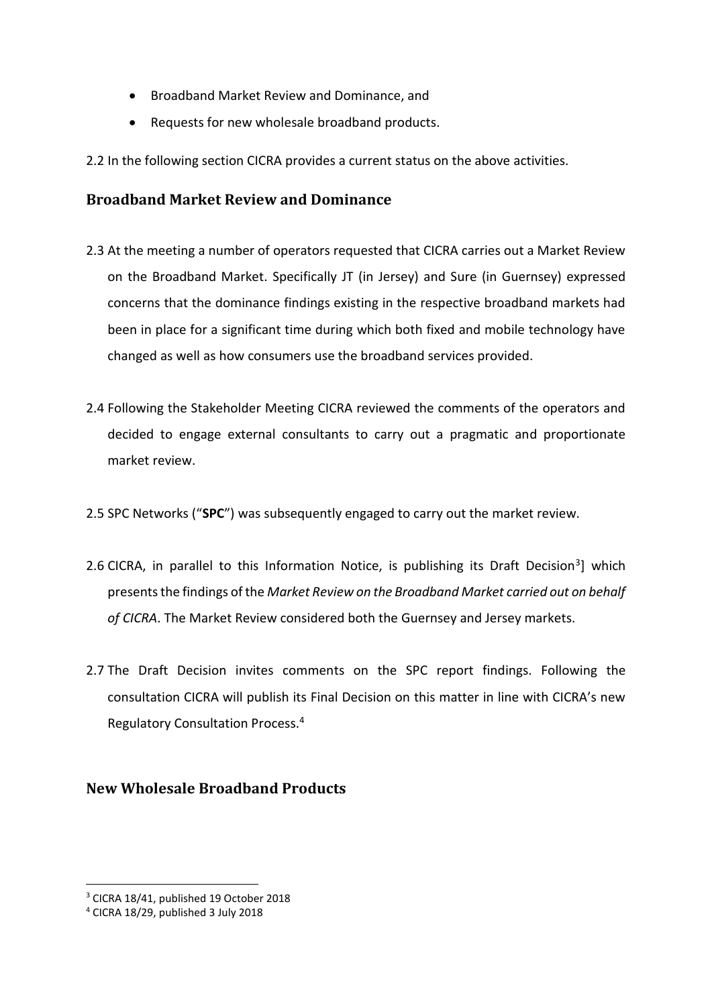- Broadband Market Review and Dominance, and
- Requests for new wholesale broadband products.
- 2.2 In the following section CICRA provides a current status on the above activities.

### **Broadband Market Review and Dominance**

- 2.3 At the meeting a number of operators requested that CICRA carries out a Market Review on the Broadband Market. Specifically JT (in Jersey) and Sure (in Guernsey) expressed concerns that the dominance findings existing in the respective broadband markets had been in place for a significant time during which both fixed and mobile technology have changed as well as how consumers use the broadband services provided.
- 2.4 Following the Stakeholder Meeting CICRA reviewed the comments of the operators and decided to engage external consultants to carry out a pragmatic and proportionate market review.
- 2.5 SPC Networks ("**SPC**") was subsequently engaged to carry out the market review.
- 2.6 CICRA, in parallel to this Information Notice, is publishing its Draft Decision<sup>3</sup>] which presents the findings of the *Market Review on the Broadband Market carried out on behalf of CICRA*. The Market Review considered both the Guernsey and Jersey markets.
- 2.7 The Draft Decision invites comments on the SPC report findings. Following the consultation CICRA will publish its Final Decision on this matter in line with CICRA's new Regulatory Consultation Process.<sup>4</sup>

### **New Wholesale Broadband Products**

**.** 

<sup>3</sup> CICRA 18/41, published 19 October 2018

<sup>4</sup> CICRA 18/29, published 3 July 2018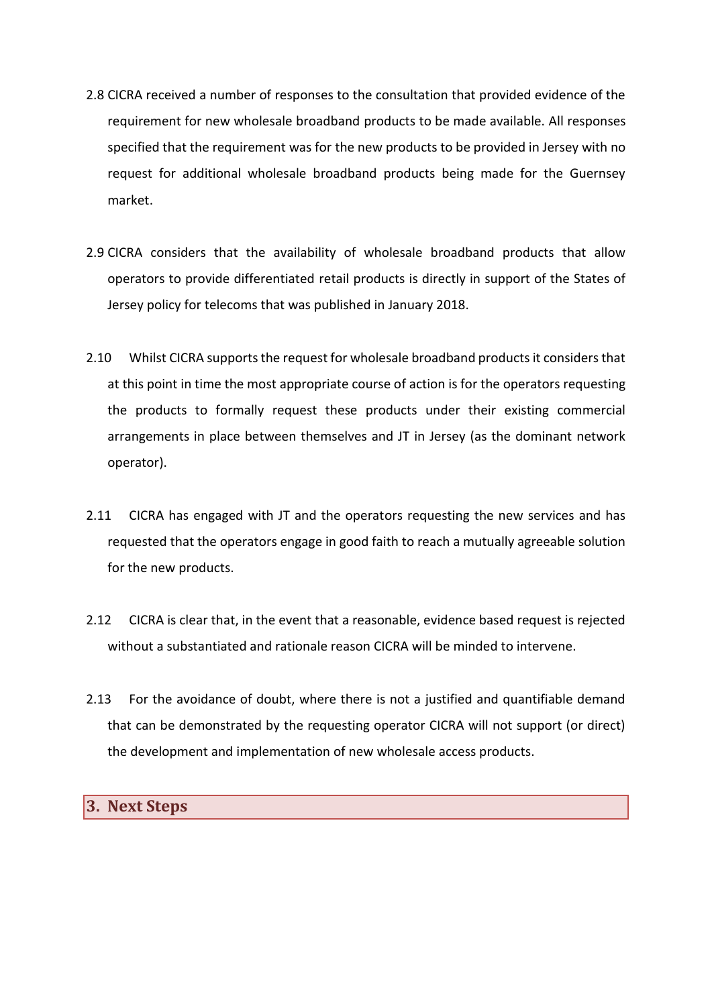- 2.8 CICRA received a number of responses to the consultation that provided evidence of the requirement for new wholesale broadband products to be made available. All responses specified that the requirement was for the new products to be provided in Jersey with no request for additional wholesale broadband products being made for the Guernsey market.
- 2.9 CICRA considers that the availability of wholesale broadband products that allow operators to provide differentiated retail products is directly in support of the States of Jersey policy for telecoms that was published in January 2018.
- 2.10 Whilst CICRA supports the request for wholesale broadband products it considers that at this point in time the most appropriate course of action is for the operators requesting the products to formally request these products under their existing commercial arrangements in place between themselves and JT in Jersey (as the dominant network operator).
- 2.11 CICRA has engaged with JT and the operators requesting the new services and has requested that the operators engage in good faith to reach a mutually agreeable solution for the new products.
- 2.12 CICRA is clear that, in the event that a reasonable, evidence based request is rejected without a substantiated and rationale reason CICRA will be minded to intervene.
- 2.13 For the avoidance of doubt, where there is not a justified and quantifiable demand that can be demonstrated by the requesting operator CICRA will not support (or direct) the development and implementation of new wholesale access products.

#### **3. Next Steps**